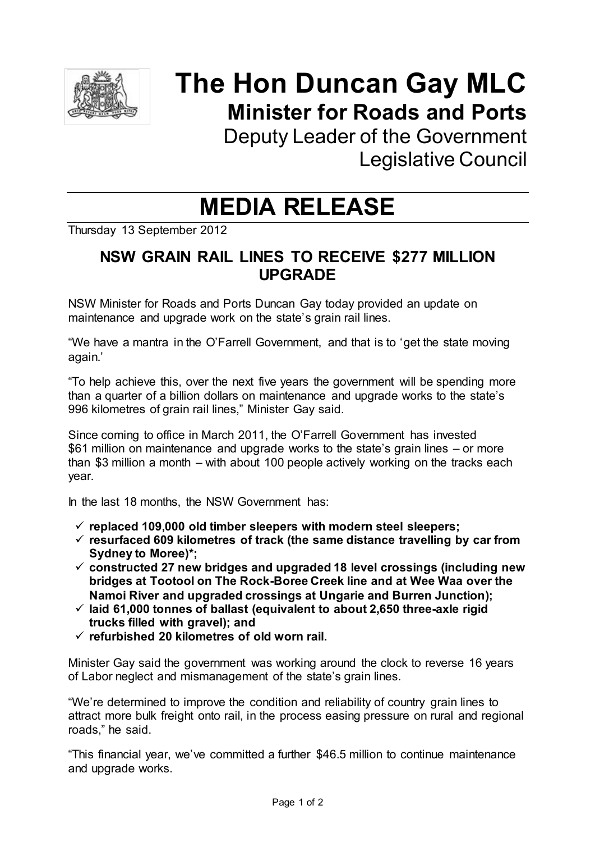

# **The Hon Duncan Gay MLC Minister for Roads and Ports**

Deputy Leader of the Government Legislative Council

## **MEDIA RELEASE**

Thursday 13 September 2012

### **NSW GRAIN RAIL LINES TO RECEIVE \$277 MILLION UPGRADE**

NSW Minister for Roads and Ports Duncan Gay today provided an update on maintenance and upgrade work on the state's grain rail lines.

"We have a mantra in the O'Farrell Government, and that is to 'get the state moving again.'

"To help achieve this, over the next five years the government will be spending more than a quarter of a billion dollars on maintenance and upgrade works to the state's 996 kilometres of grain rail lines," Minister Gay said.

Since coming to office in March 2011, the O'Farrell Government has invested \$61 million on maintenance and upgrade works to the state's grain lines – or more than \$3 million a month – with about 100 people actively working on the tracks each year.

In the last 18 months, the NSW Government has:

- **replaced 109,000 old timber sleepers with modern steel sleepers;**
- **resurfaced 609 kilometres of track (the same distance travelling by car from Sydney to Moree)\*;**
- **constructed 27 new bridges and upgraded 18 level crossings (including new bridges at Tootool on The Rock-Boree Creek line and at Wee Waa over the Namoi River and upgraded crossings at Ungarie and Burren Junction);**
- **laid 61,000 tonnes of ballast (equivalent to about 2,650 three-axle rigid trucks filled with gravel); and**
- **refurbished 20 kilometres of old worn rail.**

Minister Gay said the government was working around the clock to reverse 16 years of Labor neglect and mismanagement of the state's grain lines.

"We're determined to improve the condition and reliability of country grain lines to attract more bulk freight onto rail, in the process easing pressure on rural and regional roads," he said.

"This financial year, we've committed a further \$46.5 million to continue maintenance and upgrade works.